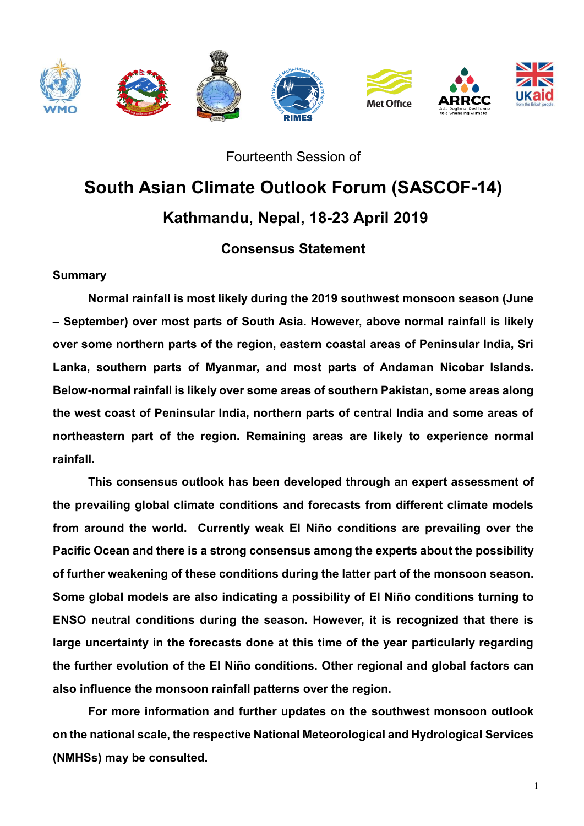

Fourteenth Session of

# **South Asian Climate Outlook Forum (SASCOF-14) Kathmandu, Nepal, 18-23 April 2019**

# **Consensus Statement**

### **Summary**

**Normal rainfall is most likely during the 2019 southwest monsoon season (June – September) over most parts of South Asia. However, above normal rainfall is likely over some northern parts of the region, eastern coastal areas of Peninsular India, Sri Lanka, southern parts of Myanmar, and most parts of Andaman Nicobar Islands. Below-normal rainfall is likely over some areas of southern Pakistan, some areas along the west coast of Peninsular India, northern parts of central India and some areas of northeastern part of the region. Remaining areas are likely to experience normal rainfall.**

**This consensus outlook has been developed through an expert assessment of the prevailing global climate conditions and forecasts from different climate models from around the world. Currently weak El Niño conditions are prevailing over the Pacific Ocean and there is a strong consensus among the experts about the possibility of further weakening of these conditions during the latter part of the monsoon season. Some global models are also indicating a possibility of El Niño conditions turning to ENSO neutral conditions during the season. However, it is recognized that there is large uncertainty in the forecasts done at this time of the year particularly regarding the further evolution of the El Niño conditions. Other regional and global factors can also influence the monsoon rainfall patterns over the region.** 

**For more information and further updates on the southwest monsoon outlook on the national scale, the respective National Meteorological and Hydrological Services (NMHSs) may be consulted.**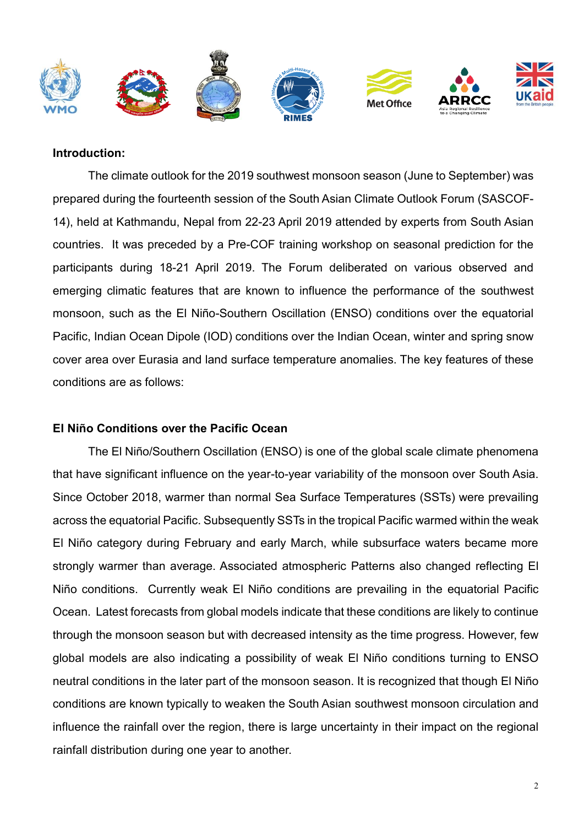

#### **Introduction:**

The climate outlook for the 2019 southwest monsoon season (June to September) was prepared during the fourteenth session of the South Asian Climate Outlook Forum (SASCOF-14), held at Kathmandu, Nepal from 22-23 April 2019 attended by experts from South Asian countries. It was preceded by a Pre-COF training workshop on seasonal prediction for the participants during 18-21 April 2019. The Forum deliberated on various observed and emerging climatic features that are known to influence the performance of the southwest monsoon, such as the El Niño-Southern Oscillation (ENSO) conditions over the equatorial Pacific, Indian Ocean Dipole (IOD) conditions over the Indian Ocean, winter and spring snow cover area over Eurasia and land surface temperature anomalies. The key features of these conditions are as follows:

#### **El Niño Conditions over the Pacific Ocean**

The El Niño/Southern Oscillation (ENSO) is one of the global scale climate phenomena that have significant influence on the year-to-year variability of the monsoon over South Asia. Since October 2018, warmer than normal Sea Surface Temperatures (SSTs) were prevailing across the equatorial Pacific. Subsequently SSTs in the tropical Pacific warmed within the weak El Niño category during February and early March, while subsurface waters became more strongly warmer than average. Associated atmospheric Patterns also changed reflecting El Niño conditions. Currently weak El Niño conditions are prevailing in the equatorial Pacific Ocean. Latest forecasts from global models indicate that these conditions are likely to continue through the monsoon season but with decreased intensity as the time progress. However, few global models are also indicating a possibility of weak El Niño conditions turning to ENSO neutral conditions in the later part of the monsoon season. It is recognized that though El Niño conditions are known typically to weaken the South Asian southwest monsoon circulation and influence the rainfall over the region, there is large uncertainty in their impact on the regional rainfall distribution during one year to another.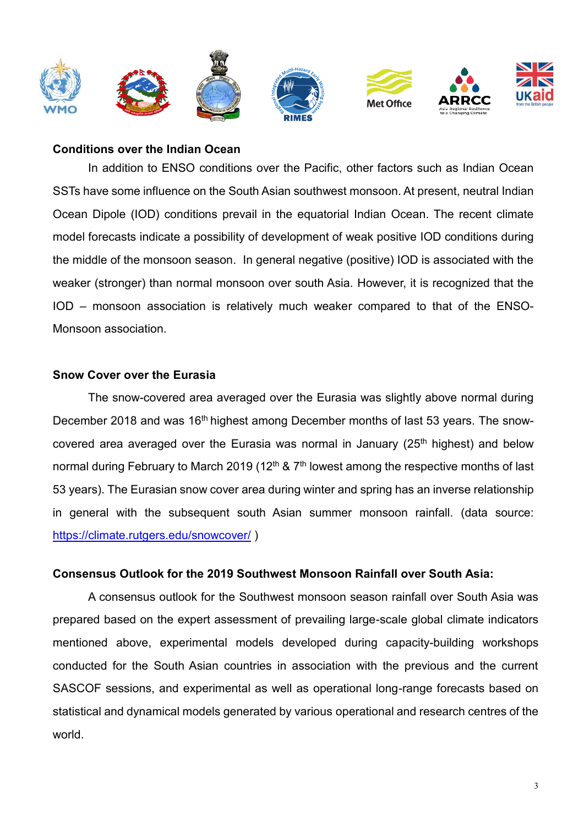

#### **Conditions over the Indian Ocean**

In addition to ENSO conditions over the Pacific, other factors such as Indian Ocean SSTs have some influence on the South Asian southwest monsoon. At present, neutral Indian Ocean Dipole (IOD) conditions prevail in the equatorial Indian Ocean. The recent climate model forecasts indicate a possibility of development of weak positive IOD conditions during the middle of the monsoon season. In general negative (positive) IOD is associated with the weaker (stronger) than normal monsoon over south Asia. However, it is recognized that the IOD – monsoon association is relatively much weaker compared to that of the ENSO-Monsoon association.

#### **Snow Cover over the Eurasia**

The snow-covered area averaged over the Eurasia was slightly above normal during December 2018 and was 16<sup>th</sup> highest among December months of last 53 years. The snowcovered area averaged over the Eurasia was normal in January ( $25<sup>th</sup>$  highest) and below normal during February to March 2019 (12<sup>th</sup> & 7<sup>th</sup> lowest among the respective months of last 53 years). The Eurasian snow cover area during winter and spring has an inverse relationship in general with the subsequent south Asian summer monsoon rainfall. (data source: <https://climate.rutgers.edu/snowcover/> )

#### **Consensus Outlook for the 2019 Southwest Monsoon Rainfall over South Asia:**

A consensus outlook for the Southwest monsoon season rainfall over South Asia was prepared based on the expert assessment of prevailing large-scale global climate indicators mentioned above, experimental models developed during capacity-building workshops conducted for the South Asian countries in association with the previous and the current SASCOF sessions, and experimental as well as operational long-range forecasts based on statistical and dynamical models generated by various operational and research centres of the world.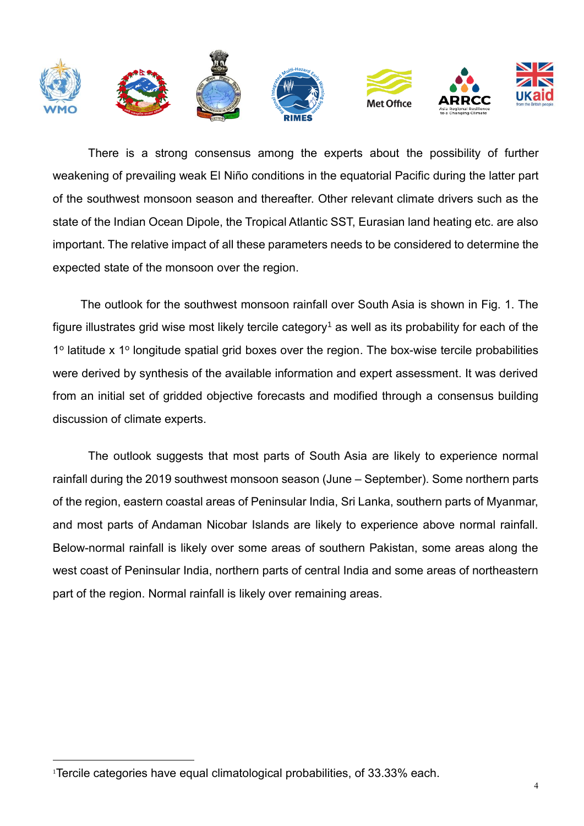

There is a strong consensus among the experts about the possibility of further weakening of prevailing weak El Niño conditions in the equatorial Pacific during the latter part of the southwest monsoon season and thereafter. Other relevant climate drivers such as the state of the Indian Ocean Dipole, the Tropical Atlantic SST, Eurasian land heating etc. are also important. The relative impact of all these parameters needs to be considered to determine the expected state of the monsoon over the region.

The outlook for the southwest monsoon rainfall over South Asia is shown in Fig. 1. The figure illustrates grid wise most likely tercile category<sup>1</sup> as well as its probability for each of the 1º latitude x 1º longitude spatial grid boxes over the region. The box-wise tercile probabilities were derived by synthesis of the available information and expert assessment. It was derived from an initial set of gridded objective forecasts and modified through a consensus building discussion of climate experts.

The outlook suggests that most parts of South Asia are likely to experience normal rainfall during the 2019 southwest monsoon season (June – September). Some northern parts of the region, eastern coastal areas of Peninsular India, Sri Lanka, southern parts of Myanmar, and most parts of Andaman Nicobar Islands are likely to experience above normal rainfall. Below-normal rainfall is likely over some areas of southern Pakistan, some areas along the west coast of Peninsular India, northern parts of central India and some areas of northeastern part of the region. Normal rainfall is likely over remaining areas.

 $\overline{a}$ 

<sup>1</sup>Tercile categories have equal climatological probabilities, of 33.33% each.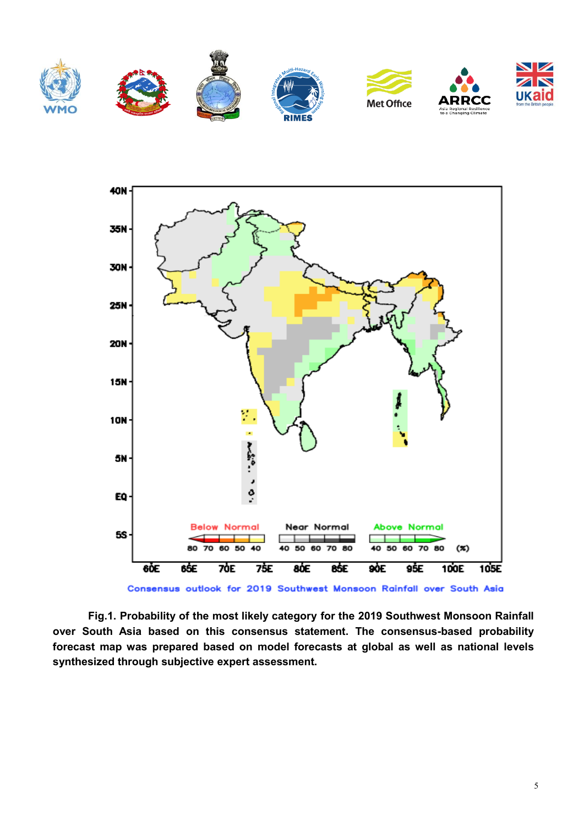



**Fig.1. Probability of the most likely category for the 2019 Southwest Monsoon Rainfall over South Asia based on this consensus statement. The consensus-based probability forecast map was prepared based on model forecasts at global as well as national levels synthesized through subjective expert assessment.**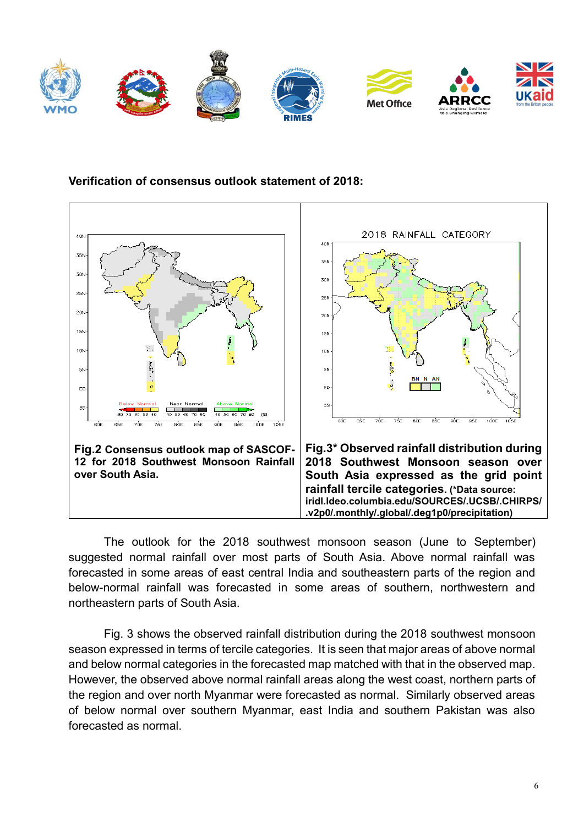

## **Verification of consensus outlook statement of 2018:**



The outlook for the 2018 southwest monsoon season (June to September) suggested normal rainfall over most parts of South Asia. Above normal rainfall was forecasted in some areas of east central India and southeastern parts of the region and below-normal rainfall was forecasted in some areas of southern, northwestern and northeastern parts of South Asia.

Fig. 3 shows the observed rainfall distribution during the 2018 southwest monsoon season expressed in terms of tercile categories. It is seen that major areas of above normal and below normal categories in the forecasted map matched with that in the observed map. However, the observed above normal rainfall areas along the west coast, northern parts of the region and over north Myanmar were forecasted as normal. Similarly observed areas of below normal over southern Myanmar, east India and southern Pakistan was also forecasted as normal.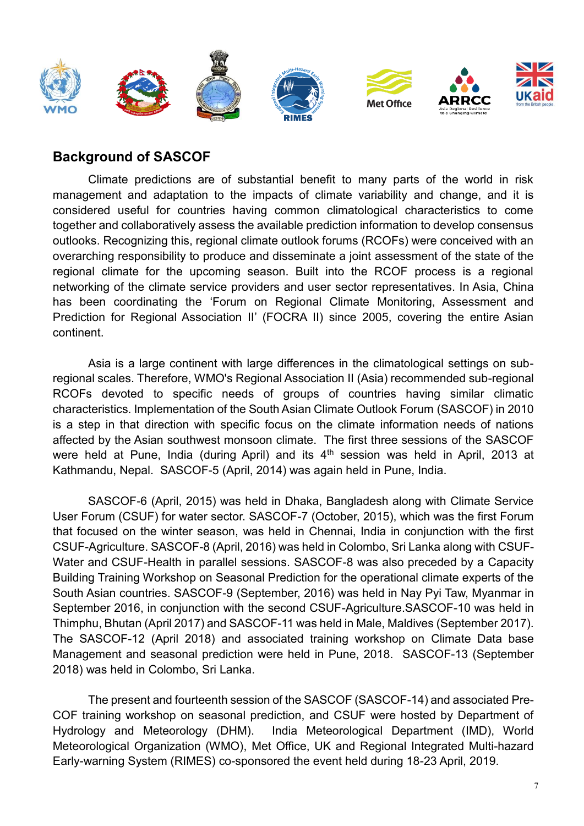

## **Background of SASCOF**

Climate predictions are of substantial benefit to many parts of the world in risk management and adaptation to the impacts of climate variability and change, and it is considered useful for countries having common climatological characteristics to come together and collaboratively assess the available prediction information to develop consensus outlooks. Recognizing this, regional climate outlook forums (RCOFs) were conceived with an overarching responsibility to produce and disseminate a joint assessment of the state of the regional climate for the upcoming season. Built into the RCOF process is a regional networking of the climate service providers and user sector representatives. In Asia, China has been coordinating the 'Forum on Regional Climate Monitoring, Assessment and Prediction for Regional Association II' (FOCRA II) since 2005, covering the entire Asian continent.

Asia is a large continent with large differences in the climatological settings on subregional scales. Therefore, WMO's Regional Association II (Asia) recommended sub-regional RCOFs devoted to specific needs of groups of countries having similar climatic characteristics. Implementation of the South Asian Climate Outlook Forum (SASCOF) in 2010 is a step in that direction with specific focus on the climate information needs of nations affected by the Asian southwest monsoon climate. The first three sessions of the SASCOF were held at Pune, India (during April) and its  $4<sup>th</sup>$  session was held in April, 2013 at Kathmandu, Nepal. SASCOF-5 (April, 2014) was again held in Pune, India.

SASCOF-6 (April, 2015) was held in Dhaka, Bangladesh along with Climate Service User Forum (CSUF) for water sector. SASCOF-7 (October, 2015), which was the first Forum that focused on the winter season, was held in Chennai, India in conjunction with the first CSUF-Agriculture. SASCOF-8 (April, 2016) was held in Colombo, Sri Lanka along with CSUF-Water and CSUF-Health in parallel sessions. SASCOF-8 was also preceded by a Capacity Building Training Workshop on Seasonal Prediction for the operational climate experts of the South Asian countries. SASCOF-9 (September, 2016) was held in Nay Pyi Taw, Myanmar in September 2016, in conjunction with the second CSUF-Agriculture.SASCOF-10 was held in Thimphu, Bhutan (April 2017) and SASCOF-11 was held in Male, Maldives (September 2017). The SASCOF-12 (April 2018) and associated training workshop on Climate Data base Management and seasonal prediction were held in Pune, 2018. SASCOF-13 (September 2018) was held in Colombo, Sri Lanka.

The present and fourteenth session of the SASCOF (SASCOF-14) and associated Pre-COF training workshop on seasonal prediction, and CSUF were hosted by Department of Hydrology and Meteorology (DHM). India Meteorological Department (IMD), World Meteorological Organization (WMO), Met Office, UK and Regional Integrated Multi-hazard Early-warning System (RIMES) co-sponsored the event held during 18-23 April, 2019.